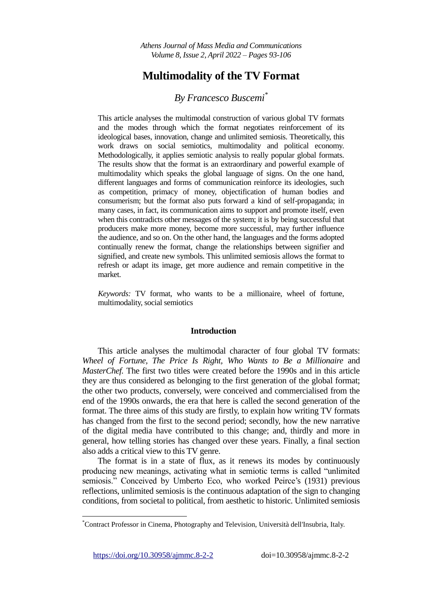# **Multimodality of the TV Format**

## *By Francesco Buscemi\**

This article analyses the multimodal construction of various global TV formats and the modes through which the format negotiates reinforcement of its ideological bases, innovation, change and unlimited semiosis. Theoretically, this work draws on social semiotics, multimodality and political economy. Methodologically, it applies semiotic analysis to really popular global formats. The results show that the format is an extraordinary and powerful example of multimodality which speaks the global language of signs. On the one hand, different languages and forms of communication reinforce its ideologies, such as competition, primacy of money, objectification of human bodies and consumerism; but the format also puts forward a kind of self-propaganda; in many cases, in fact, its communication aims to support and promote itself, even when this contradicts other messages of the system; it is by being successful that producers make more money, become more successful, may further influence the audience, and so on. On the other hand, the languages and the forms adopted continually renew the format, change the relationships between signifier and signified, and create new symbols. This unlimited semiosis allows the format to refresh or adapt its image, get more audience and remain competitive in the market.

*Keywords:* TV format, who wants to be a millionaire, wheel of fortune, multimodality, social semiotics

## **Introduction**

This article analyses the multimodal character of four global TV formats: *Wheel of Fortune, The Price Is Right, Who Wants to Be a Millionaire* and *MasterChef.* The first two titles were created before the 1990s and in this article they are thus considered as belonging to the first generation of the global format; the other two products, conversely, were conceived and commercialised from the end of the 1990s onwards, the era that here is called the second generation of the format. The three aims of this study are firstly, to explain how writing TV formats has changed from the first to the second period; secondly, how the new narrative of the digital media have contributed to this change; and, thirdly and more in general, how telling stories has changed over these years. Finally, a final section also adds a critical view to this TV genre.

The format is in a state of flux, as it renews its modes by continuously producing new meanings, activating what in semiotic terms is called "unlimited semiosis." Conceived by Umberto Eco, who worked Peirce's (1931) previous reflections, unlimited semiosis is the continuous adaptation of the sign to changing conditions, from societal to political, from aesthetic to historic. Unlimited semiosis

<https://doi.org/10.30958/ajmmc.8-2-2>doi=10.30958/ajmmc.8-2-2

 $\overline{a}$ 

<sup>\*</sup>Contract Professor in Cinema, Photography and Television, Università dell'Insubria, Italy.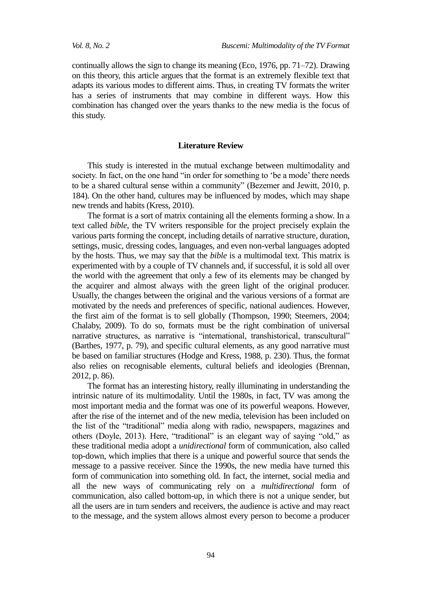continually allows the sign to change its meaning (Eco, 1976, pp. 71–72). Drawing on this theory, this article argues that the format is an extremely flexible text that adapts its various modes to different aims. Thus, in creating TV formats the writer has a series of instruments that may combine in different ways. How this combination has changed over the years thanks to the new media is the focus of this study.

#### **Literature Review**

This study is interested in the mutual exchange between multimodality and society. In fact, on the one hand "in order for something to 'be a mode' there needs to be a shared cultural sense within a community" (Bezemer and Jewitt, 2010, p. 184). On the other hand, cultures may be influenced by modes, which may shape new trends and habits (Kress, 2010).

The format is a sort of matrix containing all the elements forming a show. In a text called *bible*, the TV writers responsible for the project precisely explain the various parts forming the concept, including details of narrative structure, duration, settings, music, dressing codes, languages, and even non-verbal languages adopted by the hosts. Thus, we may say that the *bible* is a multimodal text. This matrix is experimented with by a couple of TV channels and, if successful, it is sold all over the world with the agreement that only a few of its elements may be changed by the acquirer and almost always with the green light of the original producer. Usually, the changes between the original and the various versions of a format are motivated by the needs and preferences of specific, national audiences. However, the first aim of the format is to sell globally (Thompson, 1990; Steemers, 2004; Chalaby, 2009). To do so, formats must be the right combination of universal narrative structures, as narrative is "international, transhistorical, transcultural" (Barthes, 1977, p. 79), and specific cultural elements, as any good narrative must be based on familiar structures (Hodge and Kress, 1988, p. 230). Thus, the format also relies on recognisable elements, cultural beliefs and ideologies (Brennan, 2012, p. 86).

The format has an interesting history, really illuminating in understanding the intrinsic nature of its multimodality. Until the 1980s, in fact, TV was among the most important media and the format was one of its powerful weapons. However, after the rise of the internet and of the new media, television has been included on the list of the "traditional" media along with radio, newspapers, magazines and others (Doyle, 2013). Here, "traditional" is an elegant way of saying "old," as these traditional media adopt a *unidirectional* form of communication, also called top-down, which implies that there is a unique and powerful source that sends the message to a passive receiver. Since the 1990s, the new media have turned this form of communication into something old. In fact, the internet, social media and all the new ways of communicating rely on a *multidirectional* form of communication, also called bottom-up, in which there is not a unique sender, but all the users are in turn senders and receivers, the audience is active and may react to the message, and the system allows almost every person to become a producer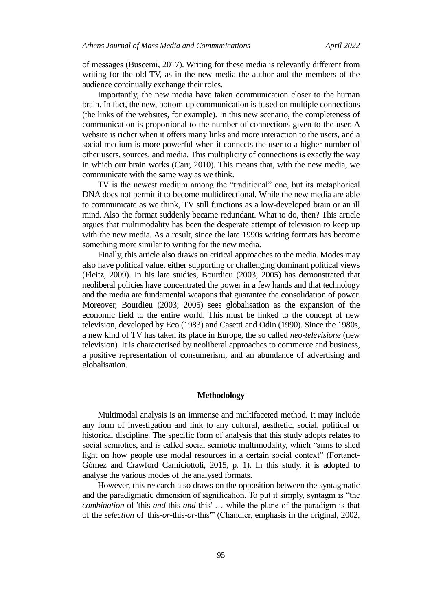of messages (Buscemi, 2017). Writing for these media is relevantly different from writing for the old TV, as in the new media the author and the members of the audience continually exchange their roles.

Importantly, the new media have taken communication closer to the human brain. In fact, the new, bottom-up communication is based on multiple connections (the links of the websites, for example). In this new scenario, the completeness of communication is proportional to the number of connections given to the user. A website is richer when it offers many links and more interaction to the users, and a social medium is more powerful when it connects the user to a higher number of other users, sources, and media. This multiplicity of connections is exactly the way in which our brain works (Carr, 2010). This means that, with the new media, we communicate with the same way as we think.

TV is the newest medium among the "traditional" one, but its metaphorical DNA does not permit it to become multidirectional. While the new media are able to communicate as we think, TV still functions as a low-developed brain or an ill mind. Also the format suddenly became redundant. What to do, then? This article argues that multimodality has been the desperate attempt of television to keep up with the new media. As a result, since the late 1990s writing formats has become something more similar to writing for the new media.

Finally, this article also draws on critical approaches to the media. Modes may also have political value, either supporting or challenging dominant political views (Fleitz, 2009). In his late studies, Bourdieu (2003; 2005) has demonstrated that neoliberal policies have concentrated the power in a few hands and that technology and the media are fundamental weapons that guarantee the consolidation of power. Moreover, Bourdieu (2003; 2005) sees globalisation as the expansion of the economic field to the entire world. This must be linked to the concept of new television, developed by Eco (1983) and Casetti and Odin (1990). Since the 1980s, a new kind of TV has taken its place in Europe, the so called *neo-televisione* (new television). It is characterised by neoliberal approaches to commerce and business, a positive representation of consumerism, and an abundance of advertising and globalisation.

## **Methodology**

Multimodal analysis is an immense and multifaceted method. It may include any form of investigation and link to any cultural, aesthetic, social, political or historical discipline. The specific form of analysis that this study adopts relates to social semiotics, and is called social semiotic multimodality, which "aims to shed light on how people use modal resources in a certain social context" (Fortanet-Gómez and Crawford Camiciottoli, 2015, p. 1). In this study, it is adopted to analyse the various modes of the analysed formats.

However, this research also draws on the opposition between the syntagmatic and the paradigmatic dimension of signification. To put it simply, syntagm is "the *combination* of 'this-*and*-this-*and*-this' … while the plane of the paradigm is that of the *selection* of 'this-*or*-this-*or*-this'" (Chandler, emphasis in the original, 2002,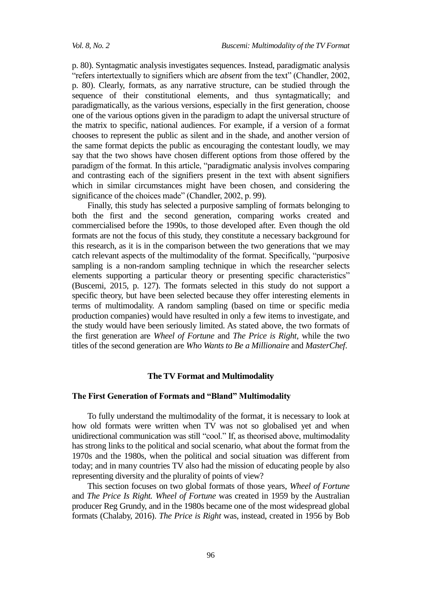p. 80). Syntagmatic analysis investigates sequences. Instead, paradigmatic analysis "refers intertextually to signifiers which are *absent* from the text" (Chandler, 2002, p. 80). Clearly, formats, as any narrative structure, can be studied through the sequence of their constitutional elements, and thus syntagmatically; and paradigmatically, as the various versions, especially in the first generation, choose one of the various options given in the paradigm to adapt the universal structure of the matrix to specific, national audiences. For example, if a version of a format chooses to represent the public as silent and in the shade, and another version of the same format depicts the public as encouraging the contestant loudly, we may say that the two shows have chosen different options from those offered by the paradigm of the format. In this article, "paradigmatic analysis involves comparing and contrasting each of the signifiers present in the text with absent signifiers which in similar circumstances might have been chosen, and considering the significance of the choices made" (Chandler, 2002, p. 99).

Finally, this study has selected a purposive sampling of formats belonging to both the first and the second generation, comparing works created and commercialised before the 1990s, to those developed after. Even though the old formats are not the focus of this study, they constitute a necessary background for this research, as it is in the comparison between the two generations that we may catch relevant aspects of the multimodality of the format. Specifically, "purposive sampling is a non-random sampling technique in which the researcher selects elements supporting a particular theory or presenting specific characteristics" (Buscemi, 2015, p. 127). The formats selected in this study do not support a specific theory, but have been selected because they offer interesting elements in terms of multimodality. A random sampling (based on time or specific media production companies) would have resulted in only a few items to investigate, and the study would have been seriously limited. As stated above, the two formats of the first generation are *Wheel of Fortune* and *The Price is Right*, while the two titles of the second generation are *Who Wants to Be a Millionaire* and *MasterChef*.

#### **The TV Format and Multimodality**

#### **The First Generation of Formats and "Bland" Multimodality**

To fully understand the multimodality of the format, it is necessary to look at how old formats were written when TV was not so globalised yet and when unidirectional communication was still "cool." If, as theorised above, multimodality has strong links to the political and social scenario, what about the format from the 1970s and the 1980s, when the political and social situation was different from today; and in many countries TV also had the mission of educating people by also representing diversity and the plurality of points of view?

This section focuses on two global formats of those years, *Wheel of Fortune* and *The Price Is Right. Wheel of Fortune* was created in 1959 by the Australian producer Reg Grundy, and in the 1980s became one of the most widespread global formats (Chalaby, 2016). *The Price is Right* was, instead, created in 1956 by Bob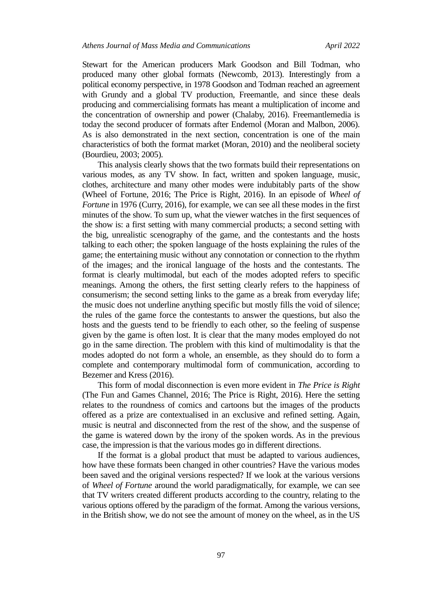Stewart for the American producers Mark Goodson and Bill Todman, who produced many other global formats (Newcomb, 2013). Interestingly from a political economy perspective, in 1978 Goodson and Todman reached an agreement with Grundy and a global TV production, Freemantle, and since these deals producing and commercialising formats has meant a multiplication of income and the concentration of ownership and power (Chalaby, 2016). Freemantlemedia is today the second producer of formats after Endemol (Moran and Malbon, 2006). As is also demonstrated in the next section, concentration is one of the main characteristics of both the format market (Moran, 2010) and the neoliberal society (Bourdieu, 2003; 2005).

This analysis clearly shows that the two formats build their representations on various modes, as any TV show. In fact, written and spoken language, music, clothes, architecture and many other modes were indubitably parts of the show (Wheel of Fortune, 2016; The Price is Right, 2016). In an episode of *Wheel of Fortune* in 1976 (Curry, 2016), for example, we can see all these modes in the first minutes of the show. To sum up, what the viewer watches in the first sequences of the show is: a first setting with many commercial products; a second setting with the big, unrealistic scenography of the game, and the contestants and the hosts talking to each other; the spoken language of the hosts explaining the rules of the game; the entertaining music without any connotation or connection to the rhythm of the images; and the ironical language of the hosts and the contestants. The format is clearly multimodal, but each of the modes adopted refers to specific meanings. Among the others, the first setting clearly refers to the happiness of consumerism; the second setting links to the game as a break from everyday life; the music does not underline anything specific but mostly fills the void of silence; the rules of the game force the contestants to answer the questions, but also the hosts and the guests tend to be friendly to each other, so the feeling of suspense given by the game is often lost. It is clear that the many modes employed do not go in the same direction. The problem with this kind of multimodality is that the modes adopted do not form a whole, an ensemble, as they should do to form a complete and contemporary multimodal form of communication, according to Bezemer and Kress (2016).

This form of modal disconnection is even more evident in *The Price is Right* (The Fun and Games Channel, 2016; The Price is Right, 2016). Here the setting relates to the roundness of comics and cartoons but the images of the products offered as a prize are contextualised in an exclusive and refined setting. Again, music is neutral and disconnected from the rest of the show, and the suspense of the game is watered down by the irony of the spoken words. As in the previous case, the impression is that the various modes go in different directions.

If the format is a global product that must be adapted to various audiences, how have these formats been changed in other countries? Have the various modes been saved and the original versions respected? If we look at the various versions of *Wheel of Fortune* around the world paradigmatically, for example, we can see that TV writers created different products according to the country, relating to the various options offered by the paradigm of the format. Among the various versions, in the British show, we do not see the amount of money on the wheel, as in the US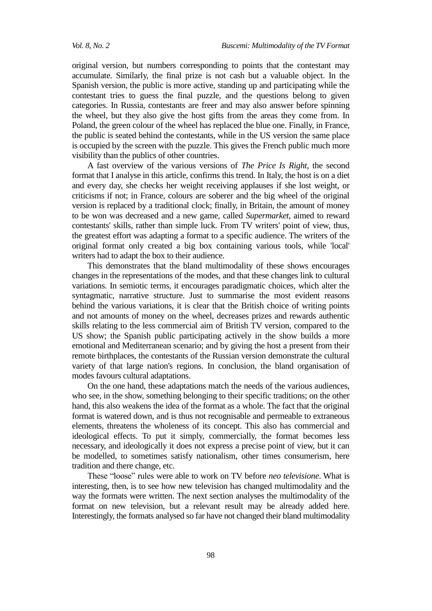original version, but numbers corresponding to points that the contestant may accumulate. Similarly, the final prize is not cash but a valuable object. In the Spanish version, the public is more active, standing up and participating while the contestant tries to guess the final puzzle, and the questions belong to given categories. In Russia, contestants are freer and may also answer before spinning the wheel, but they also give the host gifts from the areas they come from. In Poland, the green colour of the wheel has replaced the blue one. Finally, in France, the public is seated behind the contestants, while in the US version the same place is occupied by the screen with the puzzle. This gives the French public much more visibility than the publics of other countries.

A fast overview of the various versions of *The Price Is Right*, the second format that I analyse in this article, confirms this trend. In Italy, the host is on a diet and every day, she checks her weight receiving applauses if she lost weight, or criticisms if not; in France, colours are soberer and the big wheel of the original version is replaced by a traditional clock; finally, in Britain, the amount of money to be won was decreased and a new game, called *Supermarket*, aimed to reward contestants' skills, rather than simple luck. From TV writers' point of view, thus, the greatest effort was adapting a format to a specific audience. The writers of the original format only created a big box containing various tools, while 'local' writers had to adapt the box to their audience.

This demonstrates that the bland multimodality of these shows encourages changes in the representations of the modes, and that these changes link to cultural variations. In semiotic terms, it encourages paradigmatic choices, which alter the syntagmatic, narrative structure. Just to summarise the most evident reasons behind the various variations, it is clear that the British choice of writing points and not amounts of money on the wheel, decreases prizes and rewards authentic skills relating to the less commercial aim of British TV version, compared to the US show; the Spanish public participating actively in the show builds a more emotional and Mediterranean scenario; and by giving the host a present from their remote birthplaces, the contestants of the Russian version demonstrate the cultural variety of that large nation's regions. In conclusion, the bland organisation of modes favours cultural adaptations.

On the one hand, these adaptations match the needs of the various audiences, who see, in the show, something belonging to their specific traditions; on the other hand, this also weakens the idea of the format as a whole. The fact that the original format is watered down, and is thus not recognisable and permeable to extraneous elements, threatens the wholeness of its concept. This also has commercial and ideological effects. To put it simply, commercially, the format becomes less necessary, and ideologically it does not express a precise point of view, but it can be modelled, to sometimes satisfy nationalism, other times consumerism, here tradition and there change, etc.

These "loose" rules were able to work on TV before *neo televisione*. What is interesting, then, is to see how new television has changed multimodality and the way the formats were written. The next section analyses the multimodality of the format on new television, but a relevant result may be already added here. Interestingly, the formats analysed so far have not changed their bland multimodality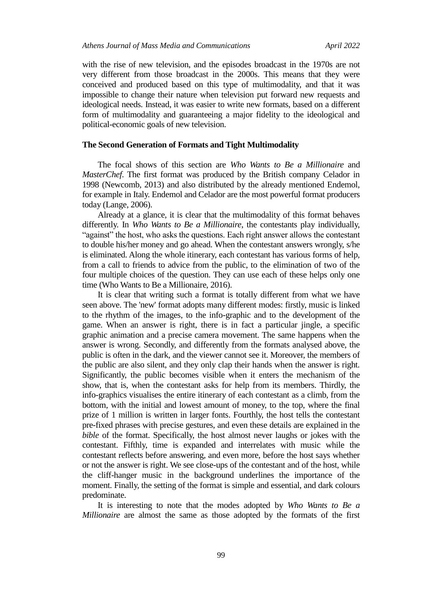with the rise of new television, and the episodes broadcast in the 1970s are not very different from those broadcast in the 2000s. This means that they were conceived and produced based on this type of multimodality, and that it was impossible to change their nature when television put forward new requests and ideological needs. Instead, it was easier to write new formats, based on a different form of multimodality and guaranteeing a major fidelity to the ideological and political-economic goals of new television.

#### **The Second Generation of Formats and Tight Multimodality**

The focal shows of this section are *Who Wants to Be a Millionaire* and *MasterChef*. The first format was produced by the British company Celador in 1998 (Newcomb, 2013) and also distributed by the already mentioned Endemol, for example in Italy. Endemol and Celador are the most powerful format producers today (Lange, 2006).

Already at a glance, it is clear that the multimodality of this format behaves differently. In *Who Wants to Be a Millionaire*, the contestants play individually, "against" the host, who asks the questions. Each right answer allows the contestant to double his/her money and go ahead. When the contestant answers wrongly, s/he is eliminated. Along the whole itinerary, each contestant has various forms of help, from a call to friends to advice from the public, to the elimination of two of the four multiple choices of the question. They can use each of these helps only one time (Who Wants to Be a Millionaire, 2016).

It is clear that writing such a format is totally different from what we have seen above. The 'new' format adopts many different modes: firstly, music is linked to the rhythm of the images, to the info-graphic and to the development of the game. When an answer is right, there is in fact a particular jingle, a specific graphic animation and a precise camera movement. The same happens when the answer is wrong. Secondly, and differently from the formats analysed above, the public is often in the dark, and the viewer cannot see it. Moreover, the members of the public are also silent, and they only clap their hands when the answer is right. Significantly, the public becomes visible when it enters the mechanism of the show, that is, when the contestant asks for help from its members. Thirdly, the info-graphics visualises the entire itinerary of each contestant as a climb, from the bottom, with the initial and lowest amount of money, to the top, where the final prize of 1 million is written in larger fonts. Fourthly, the host tells the contestant pre-fixed phrases with precise gestures, and even these details are explained in the *bible* of the format. Specifically, the host almost never laughs or jokes with the contestant. Fifthly, time is expanded and interrelates with music while the contestant reflects before answering, and even more, before the host says whether or not the answer is right. We see close-ups of the contestant and of the host, while the cliff-hanger music in the background underlines the importance of the moment. Finally, the setting of the format is simple and essential, and dark colours predominate.

It is interesting to note that the modes adopted by *Who Wants to Be a Millionaire* are almost the same as those adopted by the formats of the first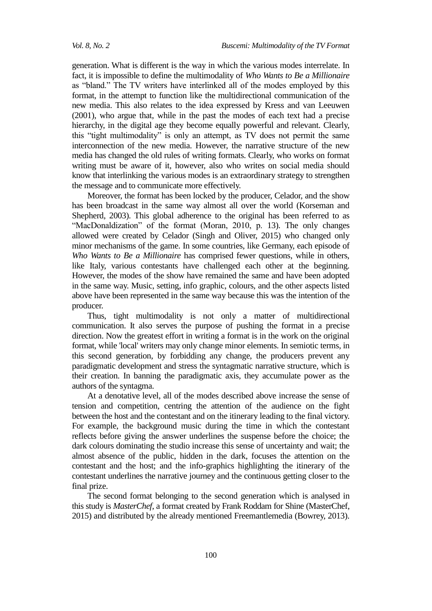generation. What is different is the way in which the various modes interrelate. In fact, it is impossible to define the multimodality of *Who Wants to Be a Millionaire* as "bland." The TV writers have interlinked all of the modes employed by this format, in the attempt to function like the multidirectional communication of the new media. This also relates to the idea expressed by Kress and van Leeuwen (2001), who argue that, while in the past the modes of each text had a precise hierarchy, in the digital age they become equally powerful and relevant. Clearly, this "tight multimodality" is only an attempt, as TV does not permit the same interconnection of the new media. However, the narrative structure of the new media has changed the old rules of writing formats. Clearly, who works on format writing must be aware of it, however, also who writes on social media should know that interlinking the various modes is an extraordinary strategy to strengthen the message and to communicate more effectively.

Moreover, the format has been locked by the producer, Celador, and the show has been broadcast in the same way almost all over the world (Korseman and Shepherd, 2003). This global adherence to the original has been referred to as "MacDonaldization" of the format (Moran, 2010, p. 13). The only changes allowed were created by Celador (Singh and Oliver, 2015) who changed only minor mechanisms of the game. In some countries, like Germany, each episode of *Who Wants to Be a Millionaire* has comprised fewer questions, while in others, like Italy, various contestants have challenged each other at the beginning. However, the modes of the show have remained the same and have been adopted in the same way. Music, setting, info graphic, colours, and the other aspects listed above have been represented in the same way because this was the intention of the producer.

Thus, tight multimodality is not only a matter of multidirectional communication. It also serves the purpose of pushing the format in a precise direction. Now the greatest effort in writing a format is in the work on the original format, while 'local' writers may only change minor elements. In semiotic terms, in this second generation, by forbidding any change, the producers prevent any paradigmatic development and stress the syntagmatic narrative structure, which is their creation. In banning the paradigmatic axis, they accumulate power as the authors of the syntagma.

At a denotative level, all of the modes described above increase the sense of tension and competition, centring the attention of the audience on the fight between the host and the contestant and on the itinerary leading to the final victory. For example, the background music during the time in which the contestant reflects before giving the answer underlines the suspense before the choice; the dark colours dominating the studio increase this sense of uncertainty and wait; the almost absence of the public, hidden in the dark, focuses the attention on the contestant and the host; and the info-graphics highlighting the itinerary of the contestant underlines the narrative journey and the continuous getting closer to the final prize.

The second format belonging to the second generation which is analysed in this study is *MasterChef*, a format created by Frank Roddam for Shine (MasterChef, 2015) and distributed by the already mentioned Freemantlemedia (Bowrey, 2013).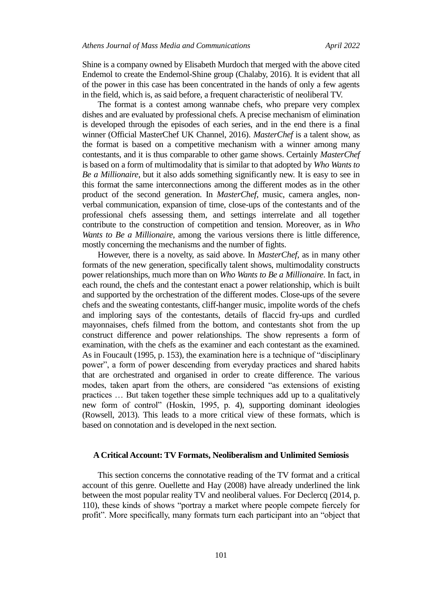Shine is a company owned by Elisabeth Murdoch that merged with the above cited Endemol to create the Endemol-Shine group (Chalaby, 2016). It is evident that all of the power in this case has been concentrated in the hands of only a few agents in the field, which is, as said before, a frequent characteristic of neoliberal TV.

The format is a contest among wannabe chefs, who prepare very complex dishes and are evaluated by professional chefs. A precise mechanism of elimination is developed through the episodes of each series, and in the end there is a final winner (Official MasterChef UK Channel, 2016). *MasterChef* is a talent show, as the format is based on a competitive mechanism with a winner among many contestants, and it is thus comparable to other game shows. Certainly *MasterChef* is based on a form of multimodality that is similar to that adopted by *Who Wants to Be a Millionaire*, but it also adds something significantly new. It is easy to see in this format the same interconnections among the different modes as in the other product of the second generation. In *MasterChef*, music, camera angles, nonverbal communication, expansion of time, close-ups of the contestants and of the professional chefs assessing them, and settings interrelate and all together contribute to the construction of competition and tension. Moreover, as in *Who Wants to Be a Millionaire*, among the various versions there is little difference, mostly concerning the mechanisms and the number of fights.

However, there is a novelty, as said above. In *MasterChef*, as in many other formats of the new generation, specifically talent shows, multimodality constructs power relationships, much more than on *Who Wants to Be a Millionaire*. In fact, in each round, the chefs and the contestant enact a power relationship, which is built and supported by the orchestration of the different modes. Close-ups of the severe chefs and the sweating contestants, cliff-hanger music, impolite words of the chefs and imploring says of the contestants, details of flaccid fry-ups and curdled mayonnaises, chefs filmed from the bottom, and contestants shot from the up construct difference and power relationships. The show represents a form of examination, with the chefs as the examiner and each contestant as the examined. As in Foucault (1995, p. 153), the examination here is a technique of "disciplinary power", a form of power descending from everyday practices and shared habits that are orchestrated and organised in order to create difference. The various modes, taken apart from the others, are considered "as extensions of existing practices … But taken together these simple techniques add up to a qualitatively new form of control" (Hoskin, 1995, p. 4), supporting dominant ideologies (Rowsell, 2013). This leads to a more critical view of these formats, which is based on connotation and is developed in the next section.

#### **A Critical Account: TV Formats, Neoliberalism and Unlimited Semiosis**

This section concerns the connotative reading of the TV format and a critical account of this genre. Ouellette and Hay (2008) have already underlined the link between the most popular reality TV and neoliberal values. For Declercq (2014, p. 110), these kinds of shows "portray a market where people compete fiercely for profit". More specifically, many formats turn each participant into an "object that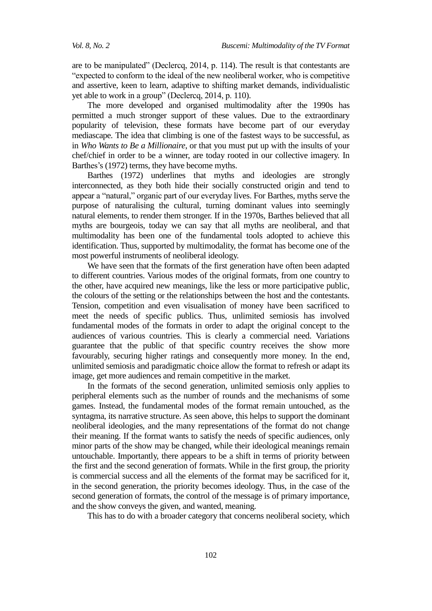are to be manipulated" (Declercq, 2014, p. 114). The result is that contestants are "expected to conform to the ideal of the new neoliberal worker, who is competitive and assertive, keen to learn, adaptive to shifting market demands, individualistic yet able to work in a group" (Declercq, 2014, p. 110).

The more developed and organised multimodality after the 1990s has permitted a much stronger support of these values. Due to the extraordinary popularity of television, these formats have become part of our everyday mediascape. The idea that climbing is one of the fastest ways to be successful, as in *Who Wants to Be a Millionaire*, or that you must put up with the insults of your chef/chief in order to be a winner, are today rooted in our collective imagery. In Barthes's (1972) terms, they have become myths.

Barthes (1972) underlines that myths and ideologies are strongly interconnected, as they both hide their socially constructed origin and tend to appear a "natural," organic part of our everyday lives. For Barthes, myths serve the purpose of naturalising the cultural, turning dominant values into seemingly natural elements, to render them stronger. If in the 1970s, Barthes believed that all myths are bourgeois, today we can say that all myths are neoliberal, and that multimodality has been one of the fundamental tools adopted to achieve this identification. Thus, supported by multimodality, the format has become one of the most powerful instruments of neoliberal ideology.

We have seen that the formats of the first generation have often been adapted to different countries. Various modes of the original formats, from one country to the other, have acquired new meanings, like the less or more participative public, the colours of the setting or the relationships between the host and the contestants. Tension, competition and even visualisation of money have been sacrificed to meet the needs of specific publics. Thus, unlimited semiosis has involved fundamental modes of the formats in order to adapt the original concept to the audiences of various countries. This is clearly a commercial need. Variations guarantee that the public of that specific country receives the show more favourably, securing higher ratings and consequently more money. In the end, unlimited semiosis and paradigmatic choice allow the format to refresh or adapt its image, get more audiences and remain competitive in the market.

In the formats of the second generation, unlimited semiosis only applies to peripheral elements such as the number of rounds and the mechanisms of some games. Instead, the fundamental modes of the format remain untouched, as the syntagma, its narrative structure. As seen above, this helps to support the dominant neoliberal ideologies, and the many representations of the format do not change their meaning. If the format wants to satisfy the needs of specific audiences, only minor parts of the show may be changed, while their ideological meanings remain untouchable. Importantly, there appears to be a shift in terms of priority between the first and the second generation of formats. While in the first group, the priority is commercial success and all the elements of the format may be sacrificed for it, in the second generation, the priority becomes ideology. Thus, in the case of the second generation of formats, the control of the message is of primary importance, and the show conveys the given, and wanted, meaning.

This has to do with a broader category that concerns neoliberal society, which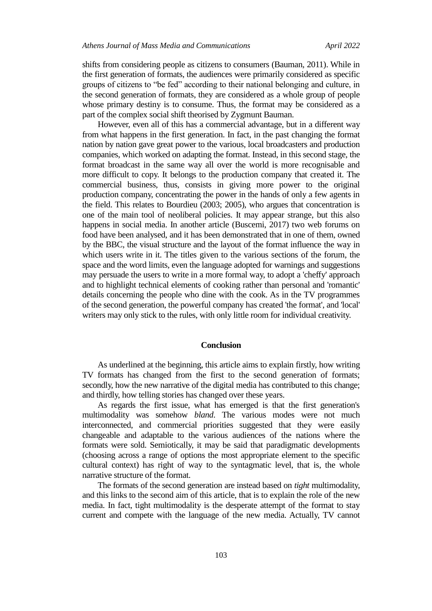shifts from considering people as citizens to consumers (Bauman, 2011). While in the first generation of formats, the audiences were primarily considered as specific groups of citizens to "be fed" according to their national belonging and culture, in the second generation of formats, they are considered as a whole group of people whose primary destiny is to consume. Thus, the format may be considered as a part of the complex social shift theorised by Zygmunt Bauman.

However, even all of this has a commercial advantage, but in a different way from what happens in the first generation. In fact, in the past changing the format nation by nation gave great power to the various, local broadcasters and production companies, which worked on adapting the format. Instead, in this second stage, the format broadcast in the same way all over the world is more recognisable and more difficult to copy. It belongs to the production company that created it. The commercial business, thus, consists in giving more power to the original production company, concentrating the power in the hands of only a few agents in the field. This relates to Bourdieu (2003; 2005), who argues that concentration is one of the main tool of neoliberal policies. It may appear strange, but this also happens in social media. In another article (Buscemi, 2017) two web forums on food have been analysed, and it has been demonstrated that in one of them, owned by the BBC, the visual structure and the layout of the format influence the way in which users write in it. The titles given to the various sections of the forum, the space and the word limits, even the language adopted for warnings and suggestions may persuade the users to write in a more formal way, to adopt a 'cheffy' approach and to highlight technical elements of cooking rather than personal and 'romantic' details concerning the people who dine with the cook. As in the TV programmes of the second generation, the powerful company has created 'the format', and 'local' writers may only stick to the rules, with only little room for individual creativity.

#### **Conclusion**

As underlined at the beginning, this article aims to explain firstly, how writing TV formats has changed from the first to the second generation of formats; secondly, how the new narrative of the digital media has contributed to this change; and thirdly, how telling stories has changed over these years.

As regards the first issue, what has emerged is that the first generation's multimodality was somehow *bland*. The various modes were not much interconnected, and commercial priorities suggested that they were easily changeable and adaptable to the various audiences of the nations where the formats were sold. Semiotically, it may be said that paradigmatic developments (choosing across a range of options the most appropriate element to the specific cultural context) has right of way to the syntagmatic level, that is, the whole narrative structure of the format.

The formats of the second generation are instead based on *tight* multimodality, and this links to the second aim of this article, that is to explain the role of the new media. In fact, tight multimodality is the desperate attempt of the format to stay current and compete with the language of the new media. Actually, TV cannot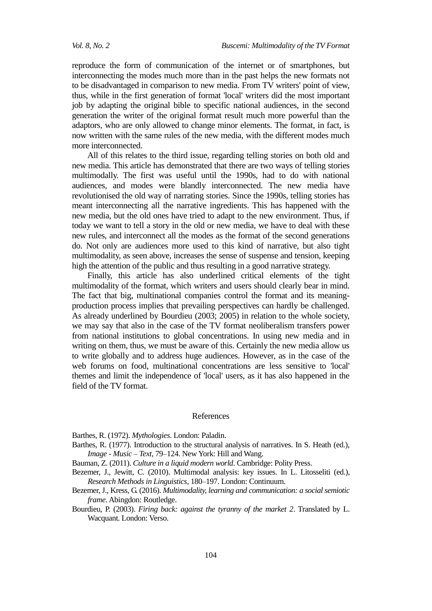reproduce the form of communication of the internet or of smartphones, but interconnecting the modes much more than in the past helps the new formats not to be disadvantaged in comparison to new media. From TV writers' point of view, thus, while in the first generation of format 'local' writers did the most important job by adapting the original bible to specific national audiences, in the second generation the writer of the original format result much more powerful than the adaptors, who are only allowed to change minor elements. The format, in fact, is now written with the same rules of the new media, with the different modes much more interconnected.

All of this relates to the third issue, regarding telling stories on both old and new media. This article has demonstrated that there are two ways of telling stories multimodally. The first was useful until the 1990s, had to do with national audiences, and modes were blandly interconnected. The new media have revolutionised the old way of narrating stories. Since the 1990s, telling stories has meant interconnecting all the narrative ingredients. This has happened with the new media, but the old ones have tried to adapt to the new environment. Thus, if today we want to tell a story in the old or new media, we have to deal with these new rules, and interconnect all the modes as the format of the second generations do. Not only are audiences more used to this kind of narrative, but also tight multimodality, as seen above, increases the sense of suspense and tension, keeping high the attention of the public and thus resulting in a good narrative strategy.

Finally, this article has also underlined critical elements of the tight multimodality of the format, which writers and users should clearly bear in mind. The fact that big, multinational companies control the format and its meaningproduction process implies that prevailing perspectives can hardly be challenged. As already underlined by Bourdieu (2003; 2005) in relation to the whole society, we may say that also in the case of the TV format neoliberalism transfers power from national institutions to global concentrations. In using new media and in writing on them, thus, we must be aware of this. Certainly the new media allow us to write globally and to address huge audiences. However, as in the case of the web forums on food, multinational concentrations are less sensitive to 'local' themes and limit the independence of 'local' users, as it has also happened in the field of the TV format.

#### References

Barthes, R. (1972). *Mythologies*. London: Paladin.

- Barthes, R. (1977). Introduction to the structural analysis of narratives. In S. Heath (ed.), *Image - Music – Text*, 79–124. New York: Hill and Wang.
- Bauman, Z. (2011). *Culture in a liquid modern world*. Cambridge: Polity Press.
- Bezemer, J., Jewitt, C. (2010). Multimodal analysis: key issues. In L. Litosseliti (ed.), *Research Methods in Linguistics*, 180–197. London: Continuum.
- Bezemer, J., Kress, G. (2016). *Multimodality, learning and communication: a social semiotic frame*. Abingdon: Routledge.
- Bourdieu, P. (2003). *Firing back: against the tyranny of the market 2*. Translated by L. Wacquant. London: Verso.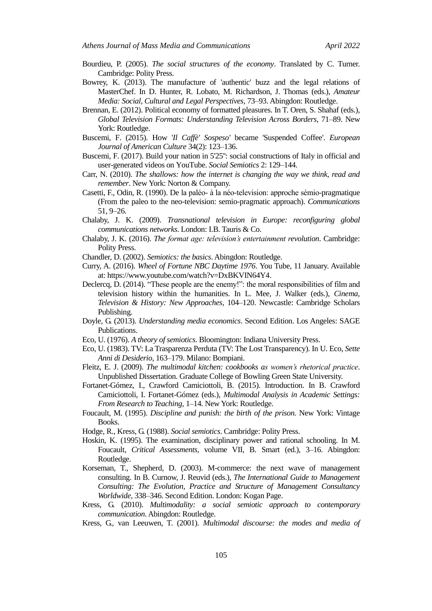- Bourdieu, P. (2005). *The social structures of the economy*. Translated by C. Turner. Cambridge: Polity Press.
- Bowrey, K. (2013). The manufacture of 'authentic' buzz and the legal relations of MasterChef. In D. Hunter, R. Lobato, M. Richardson, J. Thomas (eds.), *Amateur Media: Social, Cultural and Legal Perspectives*, 73–93. Abingdon: Routledge.
- Brennan, E. (2012). Political economy of formatted pleasures. In T. Oren, S. Shahaf (eds.), *Global Television Formats: Understanding Television Across Borders,* 71–89. New York: Routledge.
- Buscemi, F. (2015). How '*Il Caffè' Sospeso'* became 'Suspended Coffee'. *European Journal of American Culture* 34(2): 123–136.
- Buscemi, F. (2017). Build your nation in 5'25": social constructions of Italy in official and user-generated videos on YouTube. *Social Semiotics* 2: 129–144.
- Carr, N. (2010). *The shallows: how the internet is changing the way we think, read and remember*. New York: Norton & Company.
- Casetti, F., Odin, R. (1990). De la paléo- à la néo-television: approche sémio-pragmatique (From the paleo to the neo-television: semio-pragmatic approach). *Communications* 51, 9–26.
- Chalaby, J. K. (2009). *Transnational television in Europe: reconfiguring global communications networks*. London: I.B. Tauris & Co.
- Chalaby, J. K. (2016). *The format age: television's entertainment revolution*. Cambridge: Polity Press.
- Chandler, D. (2002). *Semiotics: the basics*. Abingdon: Routledge.
- Curry, A. (2016). *Wheel of Fortune NBC Daytime 1976*. You Tube, 11 January. Available at: [https://www.youtube.com/watch?v=DxBKVIN64Y4.](https://www.youtube.com/watch?v=DxBKVIN64Y4)
- Declercq, D. (2014). "These people are the enemy!": the moral responsibilities of film and television history within the humanities. In L. Mee, J. Walker (eds.), *Cinema, Television & History: New Approaches*, 104–120. Newcastle: Cambridge Scholars Publishing.
- Doyle, G. (2013). *Understanding media economics*. Second Edition. Los Angeles: SAGE Publications.
- Eco, U. (1976). *A theory of semiotics*. Bloomington: Indiana University Press.
- Eco, U. (1983). TV: La Trasparenza Perduta (TV: The Lost Transparency). In U. Eco, *Sette Anni di Desiderio*, 163–179. Milano: Bompiani.
- Fleitz, E. J. (2009). *The multimodal kitchen: cookbooks as women's rhetorical practice*. Unpublished Dissertation. Graduate College of Bowling Green State University.
- Fortanet-Gómez, I., Crawford Camiciottoli, B. (2015). Introduction. In B. Crawford Camiciottoli, I. Fortanet-Gómez (eds.), *Multimodal Analysis in Academic Settings: From Research to Teaching*, 1–14. New York: Routledge.
- Foucault, M. (1995). *Discipline and punish: the birth of the prison.* New York: Vintage Books.
- Hodge, R., Kress, G. (1988). *Social semiotics*. Cambridge: Polity Press.
- Hoskin, K. (1995). The examination, disciplinary power and rational schooling. In M. Foucault, *Critical Assessments*, volume VII, B. Smart (ed.), 3–16. Abingdon: Routledge.
- Korseman, T., Shepherd, D. (2003). M-commerce: the next wave of management consulting. In B. Curnow, J. Reuvid (eds.), *The International Guide to Management Consulting: The Evolution, Practice and Structure of Management Consultancy Worldwide*, 338–346. Second Edition. London: Kogan Page.
- Kress, G. (2010). *Multimodality: a social semiotic approach to contemporary communication*. Abingdon: Routledge.
- Kress, G., van Leeuwen, T. (2001). *Multimodal discourse: the modes and media of*